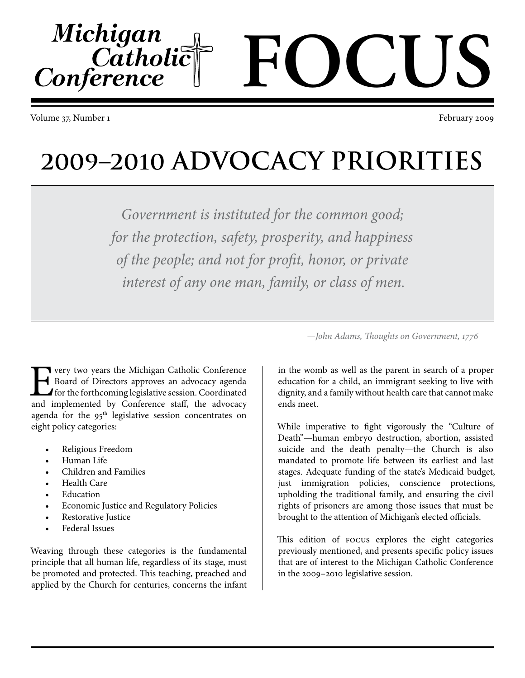Volume 37, Number 1 February 2009

Michigan

Conference

 $C$ atholi $\tilde{\bar{c}}$ 

**2009–2010 ADVOCACY PRIORITIES**

*Government is instituted for the common good; for the protection, safety, prosperity, and happiness of the people; and not for profit, honor, or private interest of any one man, family, or class of men.*

very two years the Michigan Catholic Conference Board of Directors approves an advocacy agenda for the forthcoming legislative session. Coordinated and implemented by Conference staff, the advocacy agenda for the  $95<sup>th</sup>$  legislative session concentrates on eight policy categories:

- Religious Freedom
- Human Life
- Children and Families
- **Health Care**
- **Education**
- Economic Justice and Regulatory Policies
- Restorative Justice
- **Federal Issues**

Weaving through these categories is the fundamental principle that all human life, regardless of its stage, must be promoted and protected. This teaching, preached and applied by the Church for centuries, concerns the infant *—John Adams, Thoughts on Government, 1776*

in the womb as well as the parent in search of a proper education for a child, an immigrant seeking to live with dignity, and a family without health care that cannot make ends meet.

While imperative to fight vigorously the "Culture of Death"—human embryo destruction, abortion, assisted suicide and the death penalty—the Church is also mandated to promote life between its earliest and last stages. Adequate funding of the state's Medicaid budget, just immigration policies, conscience protections, upholding the traditional family, and ensuring the civil rights of prisoners are among those issues that must be brought to the attention of Michigan's elected officials.

This edition of FOCUS explores the eight categories previously mentioned, and presents specific policy issues that are of interest to the Michigan Catholic Conference in the 2009–2010 legislative session.

# **FOCUS**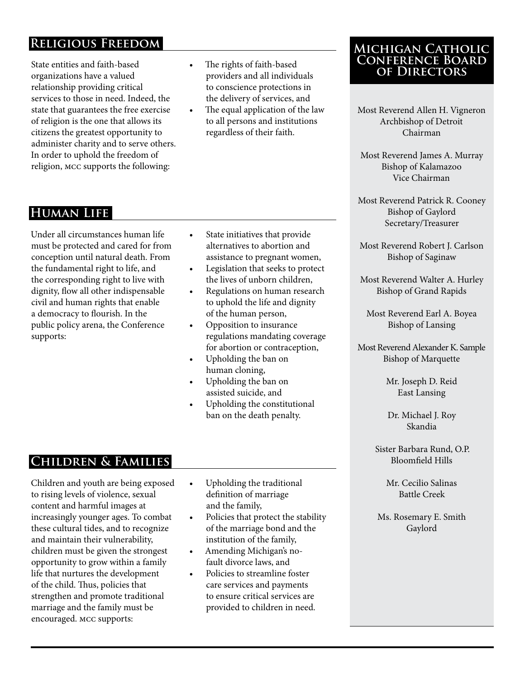# **Religious Freedom**

State entities and faith-based organizations have a valued relationship providing critical services to those in need. Indeed, the state that guarantees the free exercise of religion is the one that allows its citizens the greatest opportunity to administer charity and to serve others. In order to uphold the freedom of religion, MCC supports the following:

#### • The rights of faith-based providers and all individuals to conscience protections in the delivery of services, and

The equal application of the law to all persons and institutions regardless of their faith.

#### **Michigan Catholic Conference Board of Directors**

- Most Reverend Allen H. Vigneron Archbishop of Detroit Chairman
- Most Reverend James A. Murray Bishop of Kalamazoo Vice Chairman
- Most Reverend Patrick R. Cooney Bishop of Gaylord Secretary/Treasurer
- Most Reverend Robert J. Carlson Bishop of Saginaw
- Most Reverend Walter A. Hurley Bishop of Grand Rapids
	- Most Reverend Earl A. Boyea Bishop of Lansing
- Most Reverend Alexander K. Sample Bishop of Marquette
	- Mr. Joseph D. Reid East Lansing

Dr. Michael J. Roy Skandia

Sister Barbara Rund, O.P. Bloomfield Hills

> Mr. Cecilio Salinas Battle Creek

Ms. Rosemary E. Smith Gaylord

# **Human Life**

Under all circumstances human life must be protected and cared for from conception until natural death. From the fundamental right to life, and the corresponding right to live with dignity, flow all other indispensable civil and human rights that enable a democracy to flourish. In the public policy arena, the Conference supports:

- • State initiatives that provide alternatives to abortion and assistance to pregnant women,
- Legislation that seeks to protect the lives of unborn children,
- Regulations on human research to uphold the life and dignity of the human person,
- Opposition to insurance regulations mandating coverage for abortion or contraception,
- Upholding the ban on human cloning,
- Upholding the ban on assisted suicide, and
- Upholding the constitutional ban on the death penalty.

# **Children & Families**

Children and youth are being exposed to rising levels of violence, sexual content and harmful images at increasingly younger ages. To combat these cultural tides, and to recognize and maintain their vulnerability, children must be given the strongest opportunity to grow within a family life that nurtures the development of the child. Thus, policies that strengthen and promote traditional marriage and the family must be encouraged. MCC supports:

- • Upholding the traditional definition of marriage and the family,
- • Policies that protect the stability of the marriage bond and the institution of the family,
- Amending Michigan's nofault divorce laws, and
- Policies to streamline foster care services and payments to ensure critical services are provided to children in need.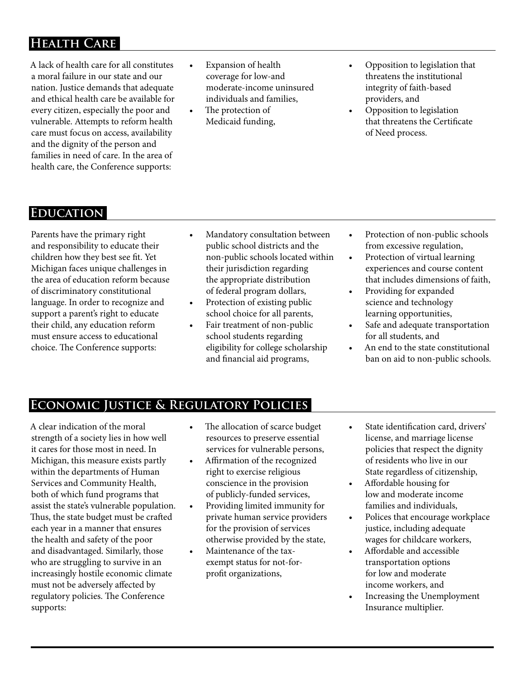# **Health Care**

A lack of health care for all constitutes a moral failure in our state and our nation. Justice demands that adequate and ethical health care be available for every citizen, especially the poor and vulnerable. Attempts to reform health care must focus on access, availability and the dignity of the person and families in need of care. In the area of health care, the Conference supports:

- Expansion of health coverage for low-and moderate-income uninsured individuals and families,
- The protection of Medicaid funding,
- Opposition to legislation that threatens the institutional integrity of faith-based providers, and
- Opposition to legislation that threatens the Certificate of Need process.

#### **Education**

Parents have the primary right and responsibility to educate their children how they best see fit. Yet Michigan faces unique challenges in the area of education reform because of discriminatory constitutional language. In order to recognize and support a parent's right to educate their child, any education reform must ensure access to educational choice. The Conference supports:

- Mandatory consultation between public school districts and the non-public schools located within their jurisdiction regarding the appropriate distribution of federal program dollars,
- Protection of existing public school choice for all parents,
- Fair treatment of non-public school students regarding eligibility for college scholarship and financial aid programs,
- Protection of non-public schools from excessive regulation,
- Protection of virtual learning experiences and course content that includes dimensions of faith,
- Providing for expanded science and technology learning opportunities,
- Safe and adequate transportation for all students, and
- An end to the state constitutional ban on aid to non-public schools.

#### **Economic Justice & Regulatory Policies**

A clear indication of the moral strength of a society lies in how well it cares for those most in need. In Michigan, this measure exists partly within the departments of Human Services and Community Health, both of which fund programs that assist the state's vulnerable population. Thus, the state budget must be crafted each year in a manner that ensures the health and safety of the poor and disadvantaged. Similarly, those who are struggling to survive in an increasingly hostile economic climate must not be adversely affected by regulatory policies. The Conference supports:

- The allocation of scarce budget resources to preserve essential services for vulnerable persons,
- Affirmation of the recognized right to exercise religious conscience in the provision of publicly-funded services,
- Providing limited immunity for private human service providers for the provision of services otherwise provided by the state,
- Maintenance of the taxexempt status for not-forprofit organizations,
- • State identification card, drivers' license, and marriage license policies that respect the dignity of residents who live in our State regardless of citizenship,
- • Affordable housing for low and moderate income families and individuals,
- Polices that encourage workplace justice, including adequate wages for childcare workers,
- Affordable and accessible transportation options for low and moderate income workers, and
- Increasing the Unemployment Insurance multiplier.